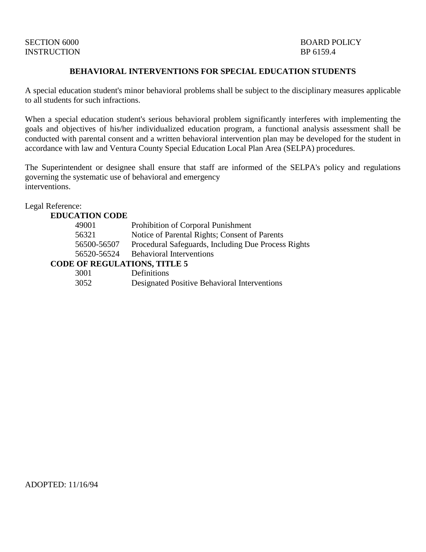# INSTRUCTION BP 6159.4

## **BEHAVIORAL INTERVENTIONS FOR SPECIAL EDUCATION STUDENTS**

A special education student's minor behavioral problems shall be subject to the disciplinary measures applicable to all students for such infractions.

When a special education student's serious behavioral problem significantly interferes with implementing the goals and objectives of his/her individualized education program, a functional analysis assessment shall be conducted with parental consent and a written behavioral intervention plan may be developed for the student in accordance with law and Ventura County Special Education Local Plan Area (SELPA) procedures.

The Superintendent or designee shall ensure that staff are informed of the SELPA's policy and regulations governing the systematic use of behavioral and emergency interventions.

#### Legal Reference:

| <b>EDUCATION CODE</b>               |                                                     |
|-------------------------------------|-----------------------------------------------------|
| 49001                               | Prohibition of Corporal Punishment                  |
| 56321                               | Notice of Parental Rights; Consent of Parents       |
| 56500-56507                         | Procedural Safeguards, Including Due Process Rights |
| 56520-56524                         | <b>Behavioral Interventions</b>                     |
| <b>CODE OF REGULATIONS, TITLE 5</b> |                                                     |
| 3001                                | Definitions                                         |
| 3052                                | Designated Positive Behavioral Interventions        |

ADOPTED: 11/16/94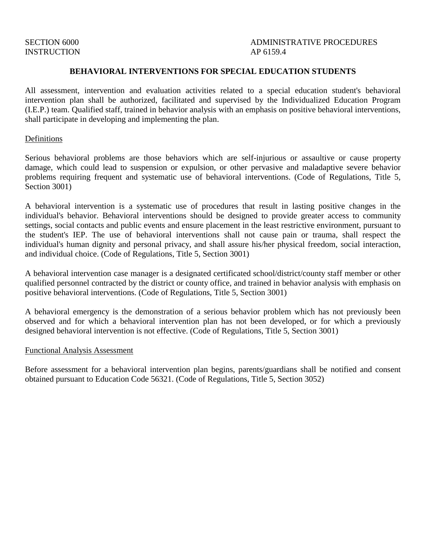# INSTRUCTION AP 6159.4

# SECTION 6000 ADMINISTRATIVE PROCEDURES

### **BEHAVIORAL INTERVENTIONS FOR SPECIAL EDUCATION STUDENTS**

All assessment, intervention and evaluation activities related to a special education student's behavioral intervention plan shall be authorized, facilitated and supervised by the Individualized Education Program (I.E.P.) team. Qualified staff, trained in behavior analysis with an emphasis on positive behavioral interventions, shall participate in developing and implementing the plan.

#### Definitions

Serious behavioral problems are those behaviors which are self-injurious or assaultive or cause property damage, which could lead to suspension or expulsion, or other pervasive and maladaptive severe behavior problems requiring frequent and systematic use of behavioral interventions. (Code of Regulations, Title 5, Section 3001)

A behavioral intervention is a systematic use of procedures that result in lasting positive changes in the individual's behavior. Behavioral interventions should be designed to provide greater access to community settings, social contacts and public events and ensure placement in the least restrictive environment, pursuant to the student's IEP. The use of behavioral interventions shall not cause pain or trauma, shall respect the individual's human dignity and personal privacy, and shall assure his/her physical freedom, social interaction, and individual choice. (Code of Regulations, Title 5, Section 3001)

A behavioral intervention case manager is a designated certificated school/district/county staff member or other qualified personnel contracted by the district or county office, and trained in behavior analysis with emphasis on positive behavioral interventions. (Code of Regulations, Title 5, Section 3001)

A behavioral emergency is the demonstration of a serious behavior problem which has not previously been observed and for which a behavioral intervention plan has not been developed, or for which a previously designed behavioral intervention is not effective. (Code of Regulations, Title 5, Section 3001)

#### Functional Analysis Assessment

Before assessment for a behavioral intervention plan begins, parents/guardians shall be notified and consent obtained pursuant to Education Code 56321. (Code of Regulations, Title 5, Section 3052)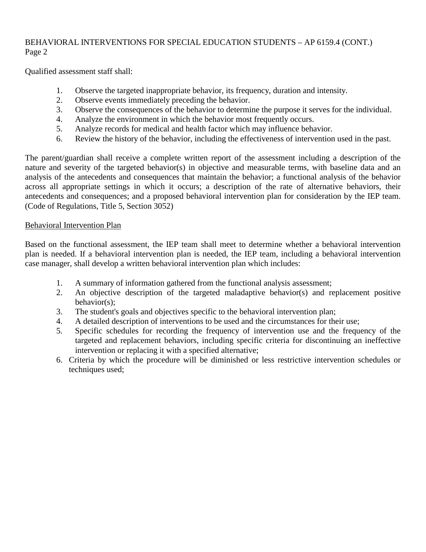# BEHAVIORAL INTERVENTIONS FOR SPECIAL EDUCATION STUDENTS – AP 6159.4 (CONT.) Page 2

Qualified assessment staff shall:

- 1. Observe the targeted inappropriate behavior, its frequency, duration and intensity.
- 2. Observe events immediately preceding the behavior.
- 3. Observe the consequences of the behavior to determine the purpose it serves for the individual.
- 4. Analyze the environment in which the behavior most frequently occurs.
- 5. Analyze records for medical and health factor which may influence behavior.
- 6. Review the history of the behavior, including the effectiveness of intervention used in the past.

The parent/guardian shall receive a complete written report of the assessment including a description of the nature and severity of the targeted behavior(s) in objective and measurable terms, with baseline data and an analysis of the antecedents and consequences that maintain the behavior; a functional analysis of the behavior across all appropriate settings in which it occurs; a description of the rate of alternative behaviors, their antecedents and consequences; and a proposed behavioral intervention plan for consideration by the IEP team. (Code of Regulations, Title 5, Section 3052)

# Behavioral Intervention Plan

Based on the functional assessment, the IEP team shall meet to determine whether a behavioral intervention plan is needed. If a behavioral intervention plan is needed, the IEP team, including a behavioral intervention case manager, shall develop a written behavioral intervention plan which includes:

- 1. A summary of information gathered from the functional analysis assessment;
- 2. An objective description of the targeted maladaptive behavior(s) and replacement positive behavior(s);
- 3. The student's goals and objectives specific to the behavioral intervention plan;
- 4. A detailed description of interventions to be used and the circumstances for their use;
- 5. Specific schedules for recording the frequency of intervention use and the frequency of the targeted and replacement behaviors, including specific criteria for discontinuing an ineffective intervention or replacing it with a specified alternative;
- 6. Criteria by which the procedure will be diminished or less restrictive intervention schedules or techniques used;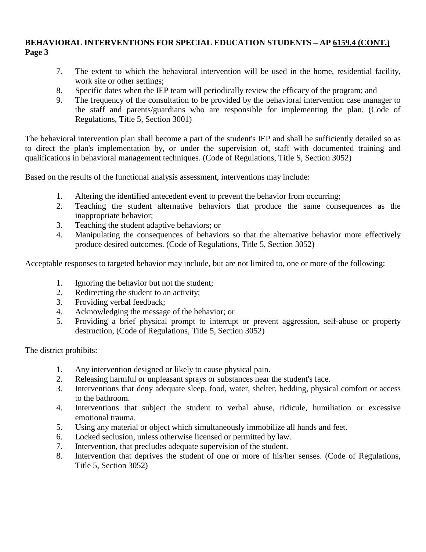## **BEHAVIORAL INTERVENTIONS FOR SPECIAL EDUCATION STUDENTS – AP 6159.4 (CONT.) Page 3**

- 7. The extent to which the behavioral intervention will be used in the home, residential facility, work site or other settings;
- 8. Specific dates when the IEP team will periodically review the efficacy of the program; and
- 9. The frequency of the consultation to be provided by the behavioral intervention case manager to the staff and parents/guardians who are responsible for implementing the plan. (Code of Regulations, Title 5, Section 3001)

The behavioral intervention plan shall become a part of the student's IEP and shall be sufficiently detailed so as to direct the plan's implementation by, or under the supervision of, staff with documented training and qualifications in behavioral management techniques. (Code of Regulations, Title S, Section 3052)

Based on the results of the functional analysis assessment, interventions may include:

- 1. Altering the identified antecedent event to prevent the behavior from occurring;
- 2. Teaching the student alternative behaviors that produce the same consequences as the inappropriate behavior;
- 3. Teaching the student adaptive behaviors; or
- 4. Manipulating the consequences of behaviors so that the alternative behavior more effectively produce desired outcomes. (Code of Regulations, Title 5, Section 3052)

Acceptable responses to targeted behavior may include, but are not limited to, one or more of the following:

- 1. Ignoring the behavior but not the student;
- 2. Redirecting the student to an activity;
- 3. Providing verbal feedback;
- 4. Acknowledging the message of the behavior; or
- 5. Providing a brief physical prompt to interrupt or prevent aggression, self-abuse or property destruction, (Code of Regulations, Title 5, Section 3052)

The district prohibits:

- 1. Any intervention designed or likely to cause physical pain.
- 2. Releasing harmful or unpleasant sprays or substances near the student's face.
- 3. Interventions that deny adequate sleep, food, water, shelter, bedding, physical comfort or access to the bathroom.
- 4. Interventions that subject the student to verbal abuse, ridicule, humiliation or excessive emotional trauma.
- 5. Using any material or object which simultaneously immobilize all hands and feet.
- 6. Locked seclusion, unless otherwise licensed or permitted by law.
- 7. Intervention, that precludes adequate supervision of the student.
- 8. Intervention that deprives the student of one or more of his/her senses. (Code of Regulations, Title 5, Section 3052)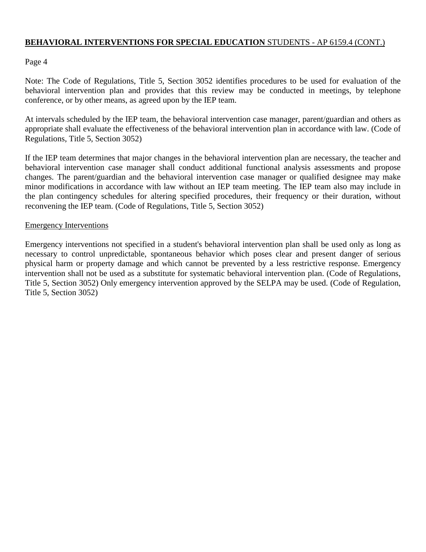## **BEHAVIORAL INTERVENTIONS FOR SPECIAL EDUCATION** STUDENTS - AP 6159.4 (CONT.)

## Page 4

Note: The Code of Regulations, Title 5, Section 3052 identifies procedures to be used for evaluation of the behavioral intervention plan and provides that this review may be conducted in meetings, by telephone conference, or by other means, as agreed upon by the IEP team.

At intervals scheduled by the IEP team, the behavioral intervention case manager, parent/guardian and others as appropriate shall evaluate the effectiveness of the behavioral intervention plan in accordance with law. (Code of Regulations, Title 5, Section 3052)

If the IEP team determines that major changes in the behavioral intervention plan are necessary, the teacher and behavioral intervention case manager shall conduct additional functional analysis assessments and propose changes. The parent/guardian and the behavioral intervention case manager or qualified designee may make minor modifications in accordance with law without an IEP team meeting. The IEP team also may include in the plan contingency schedules for altering specified procedures, their frequency or their duration, without reconvening the IEP team. (Code of Regulations, Title 5, Section 3052)

### Emergency Interventions

Emergency interventions not specified in a student's behavioral intervention plan shall be used only as long as necessary to control unpredictable, spontaneous behavior which poses clear and present danger of serious physical harm or property damage and which cannot be prevented by a less restrictive response. Emergency intervention shall not be used as a substitute for systematic behavioral intervention plan. (Code of Regulations, Title 5, Section 3052) Only emergency intervention approved by the SELPA may be used. (Code of Regulation, Title 5, Section 3052)